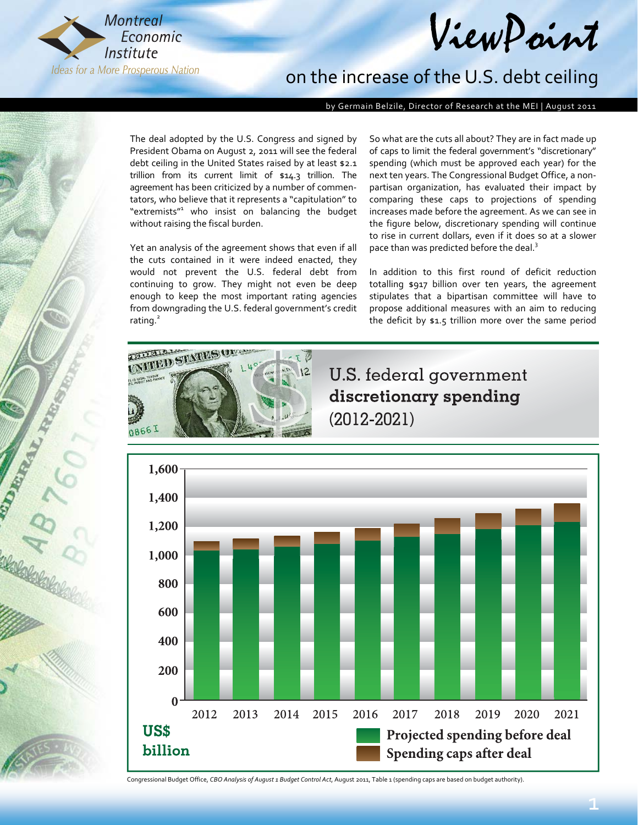

## ViewPoint

## on the increase of the U.S. debt ceiling

by Germain Belzile, Director of Research at the MEI | August 2011

The deal adopted by the U.S. Congress and signed by President Obama on August 2, 2011 will see the federal debt ceiling in the United States raised by at least \$2.1 trillion from its current limit of \$14.3 trillion. The agreement has been criticized by a number of commentators, who believe that it represents a "capitulation" to "extremists"<sup>1</sup> who insist on balancing the budget without raising the fiscal burden.

Yet an analysis of the agreement shows that even if all the cuts contained in it were indeed enacted, they would not prevent the U.S. federal debt from continuing to grow. They might not even be deep enough to keep the most important rating agencies from downgrading the U.S. federal government's credit rating.<sup>2</sup>

So what are the cuts all about? They are in fact made up of caps to limit the federal government's "discretionary" spending (which must be approved each year) for the next ten years. The Congressional Budget Office, a nonpartisan organization, has evaluated their impact by comparing these caps to projections of spending increases made before the agreement. As we can see in the figure below, discretionary spending will continue to rise in current dollars, even if it does so at a slower pace than was predicted before the deal.<sup>3</sup>

In addition to this first round of deficit reduction totalling \$917 billion over ten years, the agreement stipulates that a bipartisan committee will have to propose additional measures with an aim to reducing the deficit by \$1.5 trillion more over the same period



**U.S.** federal government discretionary spending  $(2012 - 2021)$ 



Congressional Budget Office, *CBO Analysis of August 1 Budget Control Act*, August 2011, Table 1 (spending caps are based on budget authority).